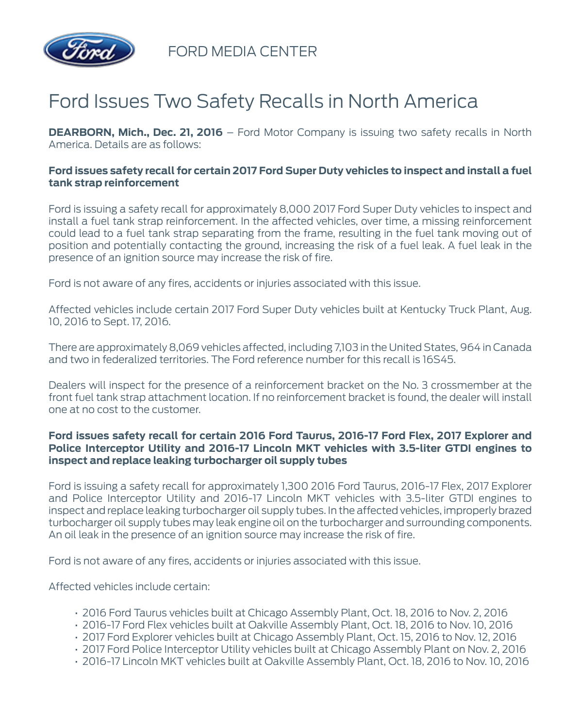

FORD MEDIA CENTER

## Ford Issues Two Safety Recalls in North America

**DEARBORN, Mich., Dec. 21, 2016** – Ford Motor Company is issuing two safety recalls in North America. Details are as follows:

## **Ford issues safety recall for certain 2017 Ford Super Duty vehicles to inspect and install a fuel tank strap reinforcement**

Ford is issuing a safety recall for approximately 8,000 2017 Ford Super Duty vehicles to inspect and install a fuel tank strap reinforcement. In the affected vehicles, over time, a missing reinforcement could lead to a fuel tank strap separating from the frame, resulting in the fuel tank moving out of position and potentially contacting the ground, increasing the risk of a fuel leak. A fuel leak in the presence of an ignition source may increase the risk of fire.

Ford is not aware of any fires, accidents or injuries associated with this issue.

Affected vehicles include certain 2017 Ford Super Duty vehicles built at Kentucky Truck Plant, Aug. 10, 2016 to Sept. 17, 2016.

There are approximately 8,069 vehicles affected, including 7,103 in the United States, 964 in Canada and two in federalized territories. The Ford reference number for this recall is 16S45.

Dealers will inspect for the presence of a reinforcement bracket on the No. 3 crossmember at the front fuel tank strap attachment location. If no reinforcement bracket is found, the dealer will install one at no cost to the customer.

## **Ford issues safety recall for certain 2016 Ford Taurus, 2016-17 Ford Flex, 2017 Explorer and Police Interceptor Utility and 2016-17 Lincoln MKT vehicles with 3.5-liter GTDI engines to inspect and replace leaking turbocharger oil supply tubes**

Ford is issuing a safety recall for approximately 1,300 2016 Ford Taurus, 2016-17 Flex, 2017 Explorer and Police Interceptor Utility and 2016-17 Lincoln MKT vehicles with 3.5-liter GTDI engines to inspect and replace leaking turbocharger oil supply tubes. In the affected vehicles, improperly brazed turbocharger oil supply tubes may leak engine oil on the turbocharger and surrounding components. An oil leak in the presence of an ignition source may increase the risk of fire.

Ford is not aware of any fires, accidents or injuries associated with this issue.

Affected vehicles include certain:

- 2016 Ford Taurus vehicles built at Chicago Assembly Plant, Oct. 18, 2016 to Nov. 2, 2016
- 2016-17 Ford Flex vehicles built at Oakville Assembly Plant, Oct. 18, 2016 to Nov. 10, 2016
- 2017 Ford Explorer vehicles built at Chicago Assembly Plant, Oct. 15, 2016 to Nov. 12, 2016
- 2017 Ford Police Interceptor Utility vehicles built at Chicago Assembly Plant on Nov. 2, 2016
- 2016-17 Lincoln MKT vehicles built at Oakville Assembly Plant, Oct. 18, 2016 to Nov. 10, 2016